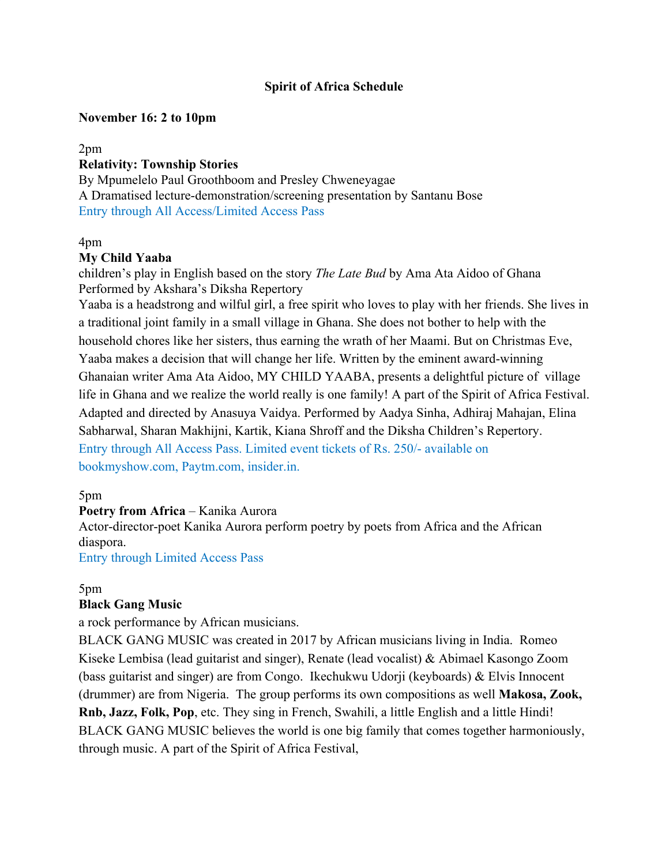### **Spirit of Africa Schedule**

### **November 16: 2 to 10pm**

#### 2pm **Relativity: Township Stories**

By Mpumelelo Paul Groothboom and Presley Chweneyagae A Dramatised lecture-demonstration/screening presentation by Santanu Bose Entry through All Access/Limited Access Pass

#### 4pm

### **My Child Yaaba**

children's play in English based on the story *The Late Bud* by Ama Ata Aidoo of Ghana Performed by Akshara's Diksha Repertory

Yaaba is a headstrong and wilful girl, a free spirit who loves to play with her friends. She lives in a traditional joint family in a small village in Ghana. She does not bother to help with the household chores like her sisters, thus earning the wrath of her Maami. But on Christmas Eve, Yaaba makes a decision that will change her life. Written by the eminent award-winning Ghanaian writer Ama Ata Aidoo, MY CHILD YAABA, presents a delightful picture of village life in Ghana and we realize the world really is one family! A part of the Spirit of Africa Festival. Adapted and directed by Anasuya Vaidya. Performed by Aadya Sinha, Adhiraj Mahajan, Elina Sabharwal, Sharan Makhijni, Kartik, Kiana Shroff and the Diksha Children's Repertory. Entry through All Access Pass. Limited event tickets of Rs. 250/- available on bookmyshow.com, Paytm.com, insider.in.

### 5pm

### **Poetry from Africa – Kanika Aurora**

Actor-director-poet Kanika Aurora perform poetry by poets from Africa and the African diaspora.

Entry through Limited Access Pass

### 5pm

### **Black Gang Music**

a rock performance by African musicians.

BLACK GANG MUSIC was created in 2017 by African musicians living in India. Romeo Kiseke Lembisa (lead guitarist and singer), Renate (lead vocalist) & Abimael Kasongo Zoom (bass guitarist and singer) are from Congo. Ikechukwu Udorji (keyboards) & Elvis Innocent (drummer) are from Nigeria. The group performs its own compositions as well **Makosa, Zook, Rnb, Jazz, Folk, Pop**, etc. They sing in French, Swahili, a little English and a little Hindi! BLACK GANG MUSIC believes the world is one big family that comes together harmoniously, through music. A part of the Spirit of Africa Festival,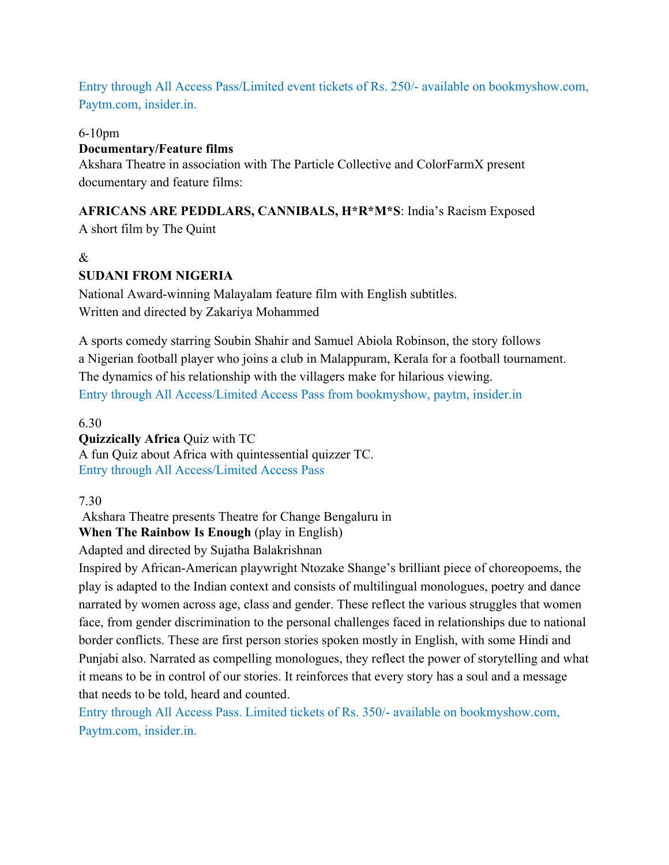Entry through All Access Pass/Limited event tickets of Rs. 250/- available on bookmyshow.com, Paytm.com, insider.in.

### 6-10pm

### **Documentary/Feature films**

Akshara Theatre in association with The Particle Collective and ColorFarmX present documentary and feature films:

# **AFRICANS ARE PEDDLARS, CANNIBALS, H\*R\*M\*S**: India's Racism Exposed

A short film by The Quint

# &

# **SUDANI FROM NIGERIA**

National Award-winning Malayalam feature film with English subtitles. Written and directed by Zakariya Mohammed

A sports comedy starring [Soubin Shahir](https://en.wikipedia.org/wiki/Soubin_Shahir) and [Samuel Abiola Robinson](https://en.wikipedia.org/wiki/Samuel_Abiola_Robinson), the story follows a [Nigerian](https://en.wikipedia.org/wiki/Nigeria) football player who joins a club in [Malappuram](https://en.wikipedia.org/wiki/Malappuram), [Kerala](https://en.wikipedia.org/wiki/Kerala) for a [football](https://en.wikipedia.org/wiki/Association_football) tournament. The dynamics of his relationship with the villagers make for hilarious viewing. Entry through All Access/Limited Access Pass from bookmyshow, paytm, insider.in

# 6.30

# **Quizzically Africa** Quiz with TC

A fun Quiz about Africa with quintessential quizzer TC. Entry through All Access/Limited Access Pass

### 7.30

Akshara Theatre presents Theatre for Change Bengaluru in

**When The Rainbow Is Enough (play in English)** 

Adapted and directed by Sujatha Balakrishnan

Inspired by African-American playwright Ntozake Shange's brilliant piece of choreopoems, the play is adapted to the Indian context and consists of multilingual monologues, poetry and dance narrated by women across age, class and gender. These reflect the various struggles that women face, from gender discrimination to the personal challenges faced in relationships due to national border conflicts. These are first person stories spoken mostly in English, with some Hindi and Punjabi also. Narrated as compelling monologues, they reflect the power of storytelling and what it means to be in control of our stories. It reinforces that every story has a soul and a message that needs to be told, heard and counted.

Entry through All Access Pass. Limited tickets of Rs. 350/- available on bookmyshow.com, Paytm.com, insider.in.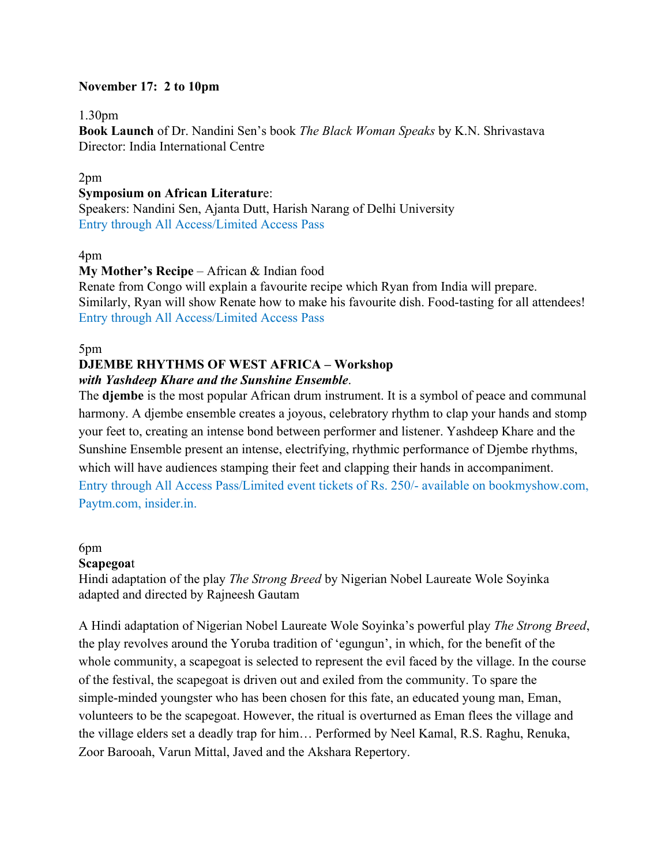### **November 17: 2 to 10pm**

#### 1.30pm

**Book Launch** of Dr. Nandini Sen's book *The Black Woman Speaks* by K.N. Shrivastava Director: India International Centre

#### 2pm

#### **Symposium on African Literatur**e:

Speakers: Nandini Sen, Ajanta Dutt, Harish Narang of Delhi University Entry through All Access/Limited Access Pass

#### 4pm

### **My Mother's Recipe** – African & Indian food

Renate from Congo will explain a favourite recipe which Ryan from India will prepare. Similarly, Ryan will show Renate how to make his favourite dish. Food-tasting for all attendees! Entry through All Access/Limited Access Pass

#### 5pm

### **DJEMBE RHYTHMS OF WEST AFRICA – Workshop** *with Yashdeep Khare and the Sunshine Ensemble*.

The **djembe** is the most popular African drum instrument. It is a symbol of peace and communal harmony. A djembe ensemble creates a joyous, celebratory rhythm to clap your hands and stomp your feet to, creating an intense bond between performer and listener. Yashdeep Khare and the Sunshine Ensemble present an intense, electrifying, rhythmic performance of Djembe rhythms, which will have audiences stamping their feet and clapping their hands in accompaniment. Entry through All Access Pass/Limited event tickets of Rs. 250/- available on bookmyshow.com, Paytm.com, insider.in.

#### 6pm

### **Scapegoa**t

Hindi adaptation of the play *The Strong Breed* by Nigerian Nobel Laureate Wole Soyinka adapted and directed by Rajneesh Gautam

A Hindi adaptation of Nigerian Nobel Laureate Wole Soyinka's powerful play *The Strong Breed*, the play revolves around the Yoruba tradition of 'egungun', in which, for the benefit of the whole community, a scapegoat is selected to represent the evil faced by the village. In the course of the festival, the scapegoat is driven out and exiled from the community. To spare the simple-minded youngster who has been chosen for this fate, an educated young man, Eman, volunteers to be the scapegoat. However, the ritual is overturned as Eman flees the village and the village elders set a deadly trap for him… Performed by Neel Kamal, R.S. Raghu, Renuka, Zoor Barooah, Varun Mittal, Javed and the Akshara Repertory.